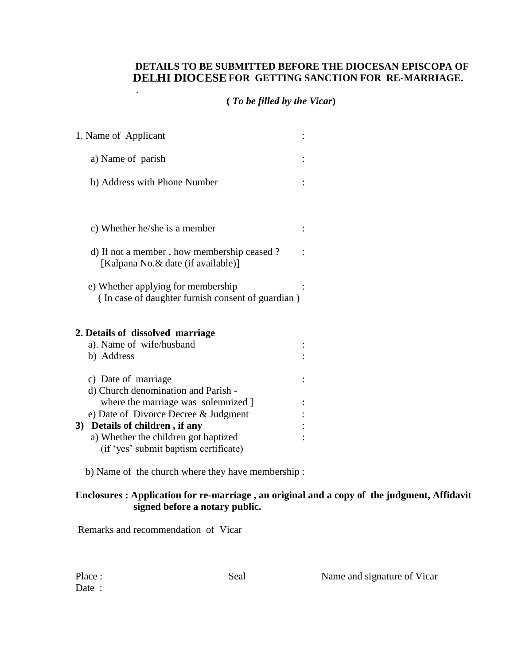## **DETAILS TO BE SUBMITTED BEFORE THE DIOCESAN EPISCOPA OF FOR GETTING SANCTION FOR RE-MARRIAGE. DELHI DIOCESE**

## **(** *To be filled by the Vicar***)**

|    | 1. Name of Applicant                                                                    |  |
|----|-----------------------------------------------------------------------------------------|--|
|    | a) Name of parish                                                                       |  |
|    | b) Address with Phone Number                                                            |  |
|    |                                                                                         |  |
|    | c) Whether he/she is a member                                                           |  |
|    | d) If not a member, how membership ceased?<br>[Kalpana No. & date (if available)]       |  |
|    | e) Whether applying for membership<br>(In case of daughter furnish consent of guardian) |  |
|    | 2. Details of dissolved marriage                                                        |  |
|    | a). Name of wife/husband                                                                |  |
|    | b) Address                                                                              |  |
|    | c) Date of marriage                                                                     |  |
|    | d) Church denomination and Parish -                                                     |  |
|    | where the marriage was solemnized ]                                                     |  |
|    | e) Date of Divorce Decree & Judgment                                                    |  |
| 3) | Details of children, if any                                                             |  |
|    | a) Whether the children got baptized<br>(if 'yes' submit baptism certificate)           |  |
|    |                                                                                         |  |

b) Name of the church where they have membership :

## **Enclosures : Application for re-marriage , an original and a copy of the judgment, Affidavit signed before a notary public.**

Remarks and recommendation of Vicar

| Place: |  |
|--------|--|
| Date   |  |

.

Seal Name and signature of Vicar